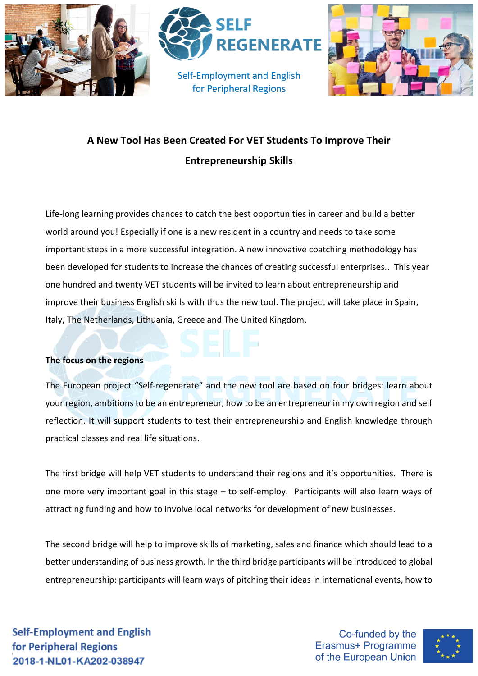

## **A New Tool Has Been Created For VET Students To Improve Their Entrepreneurship Skills**

Life-long learning provides chances to catch the best opportunities in career and build a better world around you! Especially if one is a new resident in a country and needs to take some important steps in a more successful integration. A new innovative coatching methodology has been developed for students to increase the chances of creating successful enterprises.. This year one hundred and twenty VET students will be invited to learn about entrepreneurship and improve their business English skills with thus the new tool. The project will take place in Spain, Italy, The Netherlands, Lithuania, Greece and The United Kingdom.

## **The focus on the regions**

The European project "Self-regenerate" and the new tool are based on four bridges: learn about your region, ambitions to be an entrepreneur, how to be an entrepreneur in my own region and self reflection. It will support students to test their entrepreneurship and English knowledge through practical classes and real life situations.

The first bridge will help VET students to understand their regions and it's opportunities. There is one more very important goal in this stage – to self-employ. Participants will also learn ways of attracting funding and how to involve local networks for development of new businesses.

The second bridge will help to improve skills of marketing, sales and finance which should lead to a better understanding of business growth. In the third bridge participants will be introduced to global entrepreneurship: participants will learn ways of pitching their ideas in international events, how to

**Self-Employment and English** for Peripheral Regions 2018-1-NL01-KA202-038947